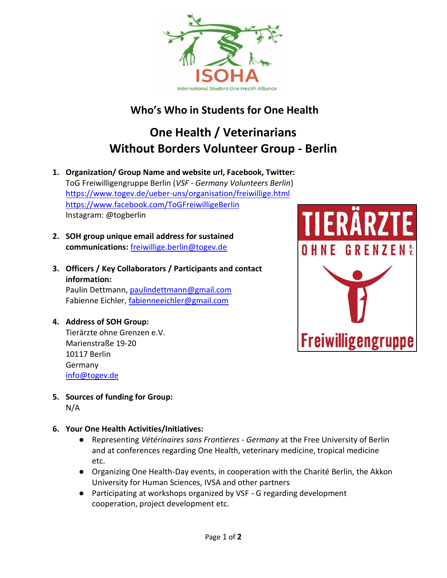

# **Who's Who in Students for One Health**

# **One Health / Veterinarians Without Borders Volunteer Group - Berlin**

- **1. Organization/ Group Name and website url, Facebook, Twitter:**  ToG Freiwilligengruppe Berlin (*VSF - Germany Volunteers Berlin*) <https://www.togev.de/ueber-uns/organisation/freiwillige.html> <https://www.facebook.com/ToGFreiwilligeBerlin> Instagram: @togberlin
- **2. SOH group unique email address for sustained communications:** [freiwillige.berlin@togev.de](mailto:freiwillige.berlin@togev.de)
- **3. Officers / Key Collaborators / Participants and contact information:**

Paulin Dettmann, [paulindettmann@gmail.com](mailto:paulindettmann@gmail.com) Fabienne Eichler, [fabienneeichler@gmail.com](mailto:fabienneeichler@gmail.com)

#### **4. Address of SOH Group:**

Tierärzte ohne Grenzen e.V. Marienstraße 19-20 10117 Berlin Germany [info@togev.de](mailto:info@togev.de)



**5. Sources of funding for Group:**  N/A

## **6. Your One Health Activities/Initiatives:**

- Representing *Vétérinaires sans Frontìeres - Germany* at the Free University of Berlin and at conferences regarding One Health, veterinary medicine, tropical medicine etc.
- Organizing One Health-Day events, in cooperation with the Charité Berlin, the Akkon University for Human Sciences, IVSA and other partners
- Participating at workshops organized by VSF G regarding development cooperation, project development etc.